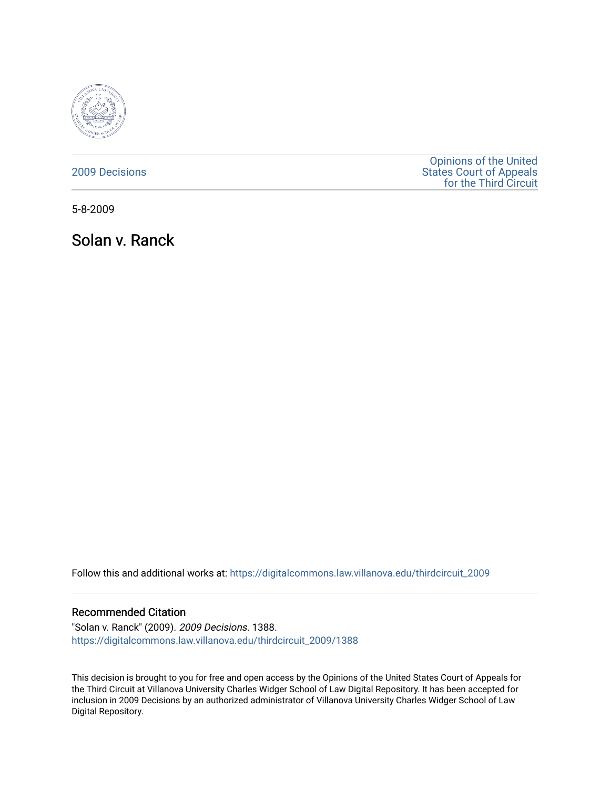

## [2009 Decisions](https://digitalcommons.law.villanova.edu/thirdcircuit_2009)

[Opinions of the United](https://digitalcommons.law.villanova.edu/thirdcircuit)  [States Court of Appeals](https://digitalcommons.law.villanova.edu/thirdcircuit)  [for the Third Circuit](https://digitalcommons.law.villanova.edu/thirdcircuit) 

5-8-2009

Solan v. Ranck

Follow this and additional works at: [https://digitalcommons.law.villanova.edu/thirdcircuit\\_2009](https://digitalcommons.law.villanova.edu/thirdcircuit_2009?utm_source=digitalcommons.law.villanova.edu%2Fthirdcircuit_2009%2F1388&utm_medium=PDF&utm_campaign=PDFCoverPages) 

## Recommended Citation

"Solan v. Ranck" (2009). 2009 Decisions. 1388. [https://digitalcommons.law.villanova.edu/thirdcircuit\\_2009/1388](https://digitalcommons.law.villanova.edu/thirdcircuit_2009/1388?utm_source=digitalcommons.law.villanova.edu%2Fthirdcircuit_2009%2F1388&utm_medium=PDF&utm_campaign=PDFCoverPages) 

This decision is brought to you for free and open access by the Opinions of the United States Court of Appeals for the Third Circuit at Villanova University Charles Widger School of Law Digital Repository. It has been accepted for inclusion in 2009 Decisions by an authorized administrator of Villanova University Charles Widger School of Law Digital Repository.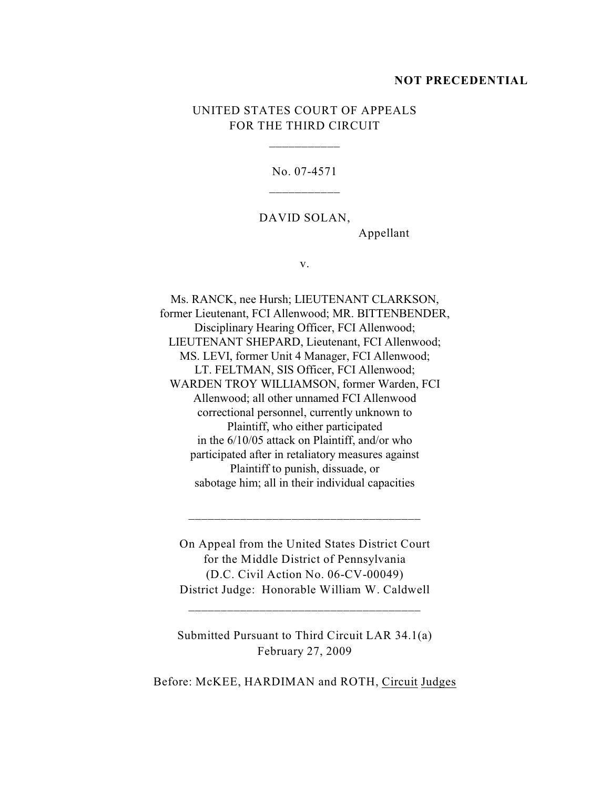#### **NOT PRECEDENTIAL**

# UNITED STATES COURT OF APPEALS FOR THE THIRD CIRCUIT

\_\_\_\_\_\_\_\_\_\_\_

No. 07-4571

DAVID SOLAN,

Appellant

v.

Ms. RANCK, nee Hursh; LIEUTENANT CLARKSON, former Lieutenant, FCI Allenwood; MR. BITTENBENDER, Disciplinary Hearing Officer, FCI Allenwood; LIEUTENANT SHEPARD, Lieutenant, FCI Allenwood; MS. LEVI, former Unit 4 Manager, FCI Allenwood; LT. FELTMAN, SIS Officer, FCI Allenwood; WARDEN TROY WILLIAMSON, former Warden, FCI Allenwood; all other unnamed FCI Allenwood correctional personnel, currently unknown to Plaintiff, who either participated in the 6/10/05 attack on Plaintiff, and/or who participated after in retaliatory measures against Plaintiff to punish, dissuade, or sabotage him; all in their individual capacities

On Appeal from the United States District Court for the Middle District of Pennsylvania (D.C. Civil Action No. 06-CV-00049) District Judge: Honorable William W. Caldwell

\_\_\_\_\_\_\_\_\_\_\_\_\_\_\_\_\_\_\_\_\_\_\_\_\_\_\_\_\_\_\_\_\_\_\_\_

\_\_\_\_\_\_\_\_\_\_\_\_\_\_\_\_\_\_\_\_\_\_\_\_\_\_\_\_\_\_\_\_\_\_\_\_

Submitted Pursuant to Third Circuit LAR 34.1(a) February 27, 2009

Before: McKEE, HARDIMAN and ROTH, Circuit Judges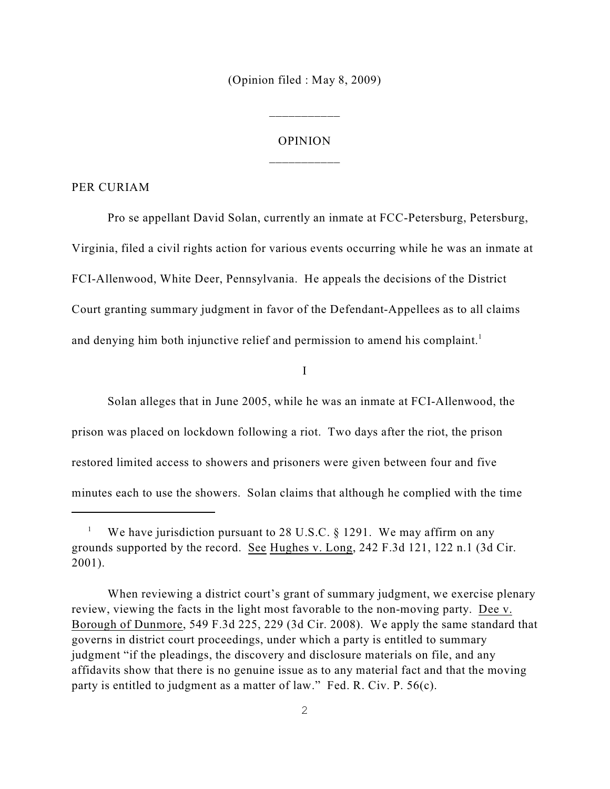(Opinion filed : May 8, 2009)

\_\_\_\_\_\_\_\_\_\_\_

# OPINION \_\_\_\_\_\_\_\_\_\_\_

#### PER CURIAM

Pro se appellant David Solan, currently an inmate at FCC-Petersburg, Petersburg, Virginia, filed a civil rights action for various events occurring while he was an inmate at FCI-Allenwood, White Deer, Pennsylvania. He appeals the decisions of the District Court granting summary judgment in favor of the Defendant-Appellees as to all claims and denying him both injunctive relief and permission to amend his complaint.<sup>1</sup>

I

Solan alleges that in June 2005, while he was an inmate at FCI-Allenwood, the prison was placed on lockdown following a riot. Two days after the riot, the prison restored limited access to showers and prisoners were given between four and five minutes each to use the showers. Solan claims that although he complied with the time

We have jurisdiction pursuant to 28 U.S.C.  $\S$  1291. We may affirm on any grounds supported by the record. See Hughes v. Long, 242 F.3d 121, 122 n.1 (3d Cir. 2001).

When reviewing a district court's grant of summary judgment, we exercise plenary review, viewing the facts in the light most favorable to the non-moving party. Dee v. Borough of Dunmore, 549 F.3d 225, 229 (3d Cir. 2008). We apply the same standard that governs in district court proceedings, under which a party is entitled to summary judgment "if the pleadings, the discovery and disclosure materials on file, and any affidavits show that there is no genuine issue as to any material fact and that the moving party is entitled to judgment as a matter of law." Fed. R. Civ. P. 56(c).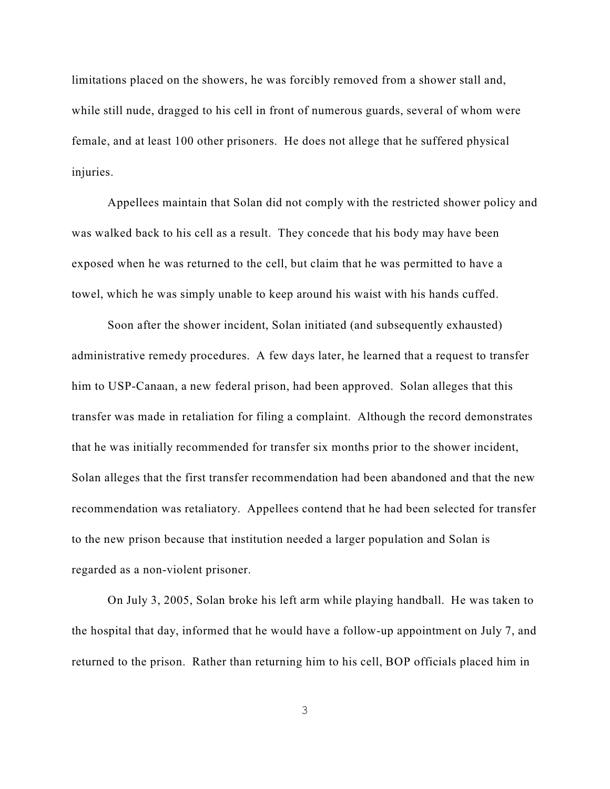limitations placed on the showers, he was forcibly removed from a shower stall and, while still nude, dragged to his cell in front of numerous guards, several of whom were female, and at least 100 other prisoners. He does not allege that he suffered physical injuries.

Appellees maintain that Solan did not comply with the restricted shower policy and was walked back to his cell as a result. They concede that his body may have been exposed when he was returned to the cell, but claim that he was permitted to have a towel, which he was simply unable to keep around his waist with his hands cuffed.

Soon after the shower incident, Solan initiated (and subsequently exhausted) administrative remedy procedures. A few days later, he learned that a request to transfer him to USP-Canaan, a new federal prison, had been approved. Solan alleges that this transfer was made in retaliation for filing a complaint. Although the record demonstrates that he was initially recommended for transfer six months prior to the shower incident, Solan alleges that the first transfer recommendation had been abandoned and that the new recommendation was retaliatory. Appellees contend that he had been selected for transfer to the new prison because that institution needed a larger population and Solan is regarded as a non-violent prisoner.

On July 3, 2005, Solan broke his left arm while playing handball. He was taken to the hospital that day, informed that he would have a follow-up appointment on July 7, and returned to the prison. Rather than returning him to his cell, BOP officials placed him in

3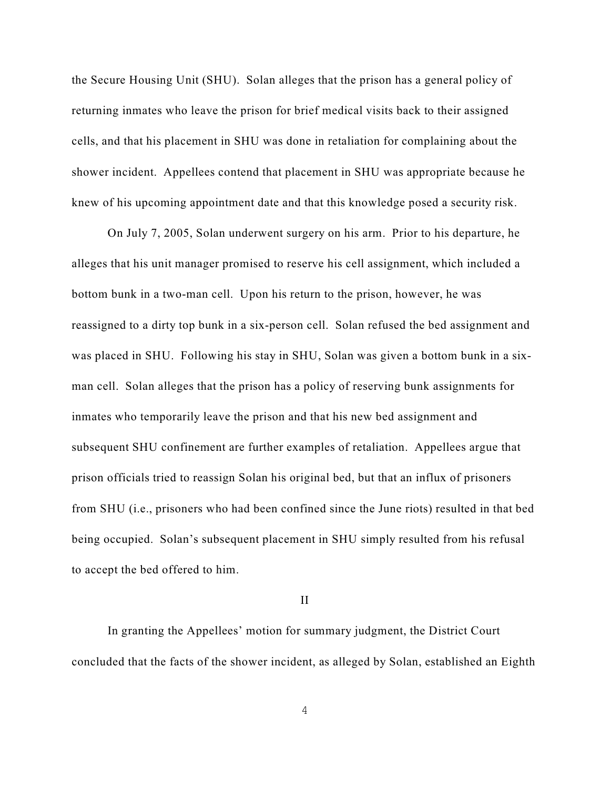the Secure Housing Unit (SHU). Solan alleges that the prison has a general policy of returning inmates who leave the prison for brief medical visits back to their assigned cells, and that his placement in SHU was done in retaliation for complaining about the shower incident. Appellees contend that placement in SHU was appropriate because he knew of his upcoming appointment date and that this knowledge posed a security risk.

On July 7, 2005, Solan underwent surgery on his arm. Prior to his departure, he alleges that his unit manager promised to reserve his cell assignment, which included a bottom bunk in a two-man cell. Upon his return to the prison, however, he was reassigned to a dirty top bunk in a six-person cell. Solan refused the bed assignment and was placed in SHU. Following his stay in SHU, Solan was given a bottom bunk in a sixman cell. Solan alleges that the prison has a policy of reserving bunk assignments for inmates who temporarily leave the prison and that his new bed assignment and subsequent SHU confinement are further examples of retaliation. Appellees argue that prison officials tried to reassign Solan his original bed, but that an influx of prisoners from SHU (i.e., prisoners who had been confined since the June riots) resulted in that bed being occupied. Solan's subsequent placement in SHU simply resulted from his refusal to accept the bed offered to him.

#### II

In granting the Appellees' motion for summary judgment, the District Court concluded that the facts of the shower incident, as alleged by Solan, established an Eighth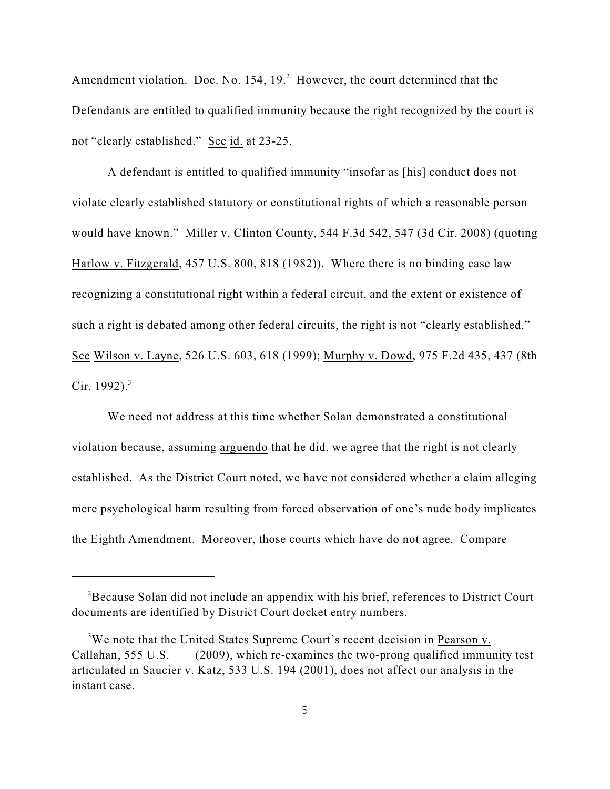Amendment violation. Doc. No.  $154$ ,  $19<sup>2</sup>$  However, the court determined that the Defendants are entitled to qualified immunity because the right recognized by the court is not "clearly established." See id. at 23-25.

A defendant is entitled to qualified immunity "insofar as [his] conduct does not violate clearly established statutory or constitutional rights of which a reasonable person would have known." Miller v. Clinton County, 544 F.3d 542, 547 (3d Cir. 2008) (quoting Harlow v. Fitzgerald, 457 U.S. 800, 818 (1982)). Where there is no binding case law recognizing a constitutional right within a federal circuit, and the extent or existence of such a right is debated among other federal circuits, the right is not "clearly established." See Wilson v. Layne, 526 U.S. 603, 618 (1999); Murphy v. Dowd, 975 F.2d 435, 437 (8th Cir. 1992). $3$ 

We need not address at this time whether Solan demonstrated a constitutional violation because, assuming arguendo that he did, we agree that the right is not clearly established. As the District Court noted, we have not considered whether a claim alleging mere psychological harm resulting from forced observation of one's nude body implicates the Eighth Amendment. Moreover, those courts which have do not agree. Compare

<sup>&</sup>lt;sup>2</sup>Because Solan did not include an appendix with his brief, references to District Court documents are identified by District Court docket entry numbers.

 $3W$ e note that the United States Supreme Court's recent decision in Pearson v. Callahan, 555 U.S. (2009), which re-examines the two-prong qualified immunity test articulated in Saucier v. Katz, 533 U.S. 194 (2001), does not affect our analysis in the instant case.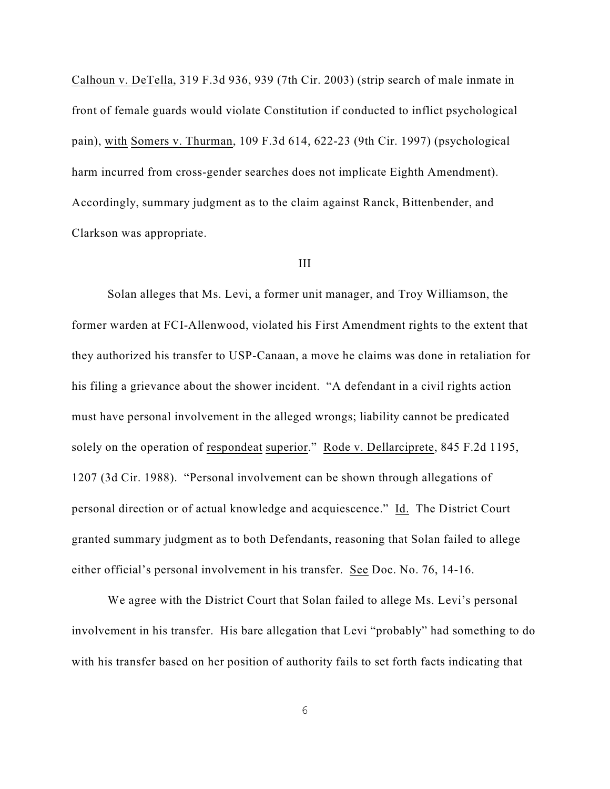Calhoun v. DeTella, 319 F.3d 936, 939 (7th Cir. 2003) (strip search of male inmate in front of female guards would violate Constitution if conducted to inflict psychological pain), with Somers v. Thurman, 109 F.3d 614, 622-23 (9th Cir. 1997) (psychological harm incurred from cross-gender searches does not implicate Eighth Amendment). Accordingly, summary judgment as to the claim against Ranck, Bittenbender, and Clarkson was appropriate.

### III

Solan alleges that Ms. Levi, a former unit manager, and Troy Williamson, the former warden at FCI-Allenwood, violated his First Amendment rights to the extent that they authorized his transfer to USP-Canaan, a move he claims was done in retaliation for his filing a grievance about the shower incident. "A defendant in a civil rights action must have personal involvement in the alleged wrongs; liability cannot be predicated solely on the operation of respondeat superior." Rode v. Dellarciprete, 845 F.2d 1195, 1207 (3d Cir. 1988). "Personal involvement can be shown through allegations of personal direction or of actual knowledge and acquiescence." Id. The District Court granted summary judgment as to both Defendants, reasoning that Solan failed to allege either official's personal involvement in his transfer. See Doc. No. 76, 14-16.

We agree with the District Court that Solan failed to allege Ms. Levi's personal involvement in his transfer. His bare allegation that Levi "probably" had something to do with his transfer based on her position of authority fails to set forth facts indicating that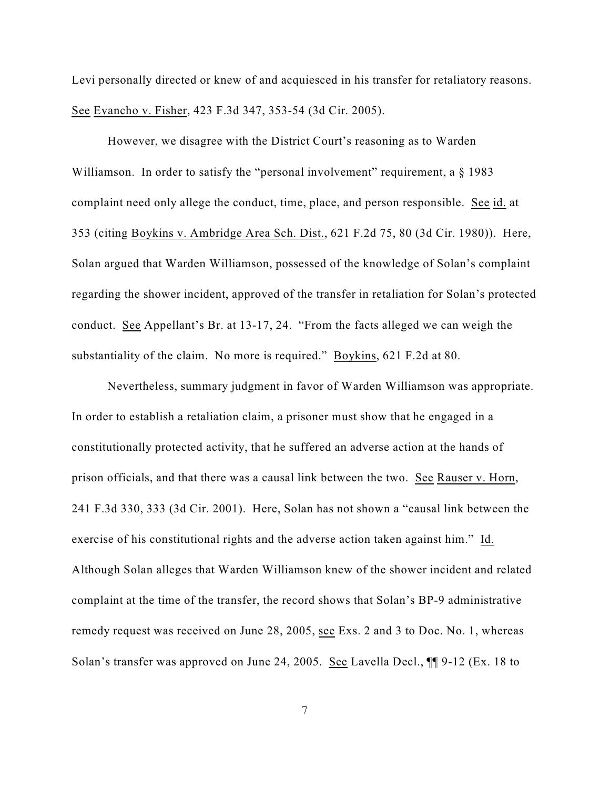Levi personally directed or knew of and acquiesced in his transfer for retaliatory reasons. See Evancho v. Fisher, 423 F.3d 347, 353-54 (3d Cir. 2005).

However, we disagree with the District Court's reasoning as to Warden Williamson. In order to satisfy the "personal involvement" requirement, a  $\S$  1983 complaint need only allege the conduct, time, place, and person responsible. See id. at 353 (citing Boykins v. Ambridge Area Sch. Dist., 621 F.2d 75, 80 (3d Cir. 1980)). Here, Solan argued that Warden Williamson, possessed of the knowledge of Solan's complaint regarding the shower incident, approved of the transfer in retaliation for Solan's protected conduct. See Appellant's Br. at 13-17, 24. "From the facts alleged we can weigh the substantiality of the claim. No more is required." Boykins, 621 F.2d at 80.

Nevertheless, summary judgment in favor of Warden Williamson was appropriate. In order to establish a retaliation claim, a prisoner must show that he engaged in a constitutionally protected activity, that he suffered an adverse action at the hands of prison officials, and that there was a causal link between the two. See Rauser v. Horn, 241 F.3d 330, 333 (3d Cir. 2001). Here, Solan has not shown a "causal link between the exercise of his constitutional rights and the adverse action taken against him." Id. Although Solan alleges that Warden Williamson knew of the shower incident and related complaint at the time of the transfer, the record shows that Solan's BP-9 administrative remedy request was received on June 28, 2005, see Exs. 2 and 3 to Doc. No. 1, whereas Solan's transfer was approved on June 24, 2005. See Lavella Decl., ¶¶ 9-12 (Ex. 18 to

7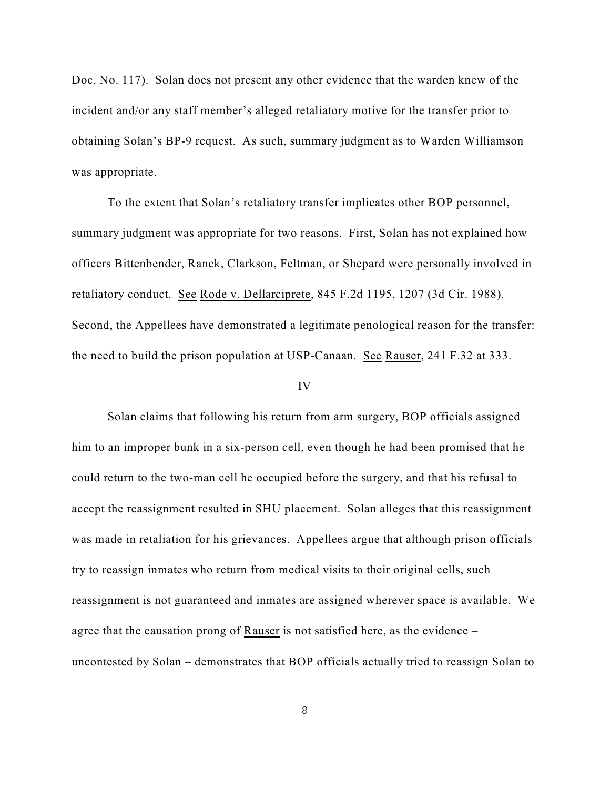Doc. No. 117). Solan does not present any other evidence that the warden knew of the incident and/or any staff member's alleged retaliatory motive for the transfer prior to obtaining Solan's BP-9 request. As such, summary judgment as to Warden Williamson was appropriate.

To the extent that Solan's retaliatory transfer implicates other BOP personnel, summary judgment was appropriate for two reasons. First, Solan has not explained how officers Bittenbender, Ranck, Clarkson, Feltman, or Shepard were personally involved in retaliatory conduct. See Rode v. Dellarciprete, 845 F.2d 1195, 1207 (3d Cir. 1988). Second, the Appellees have demonstrated a legitimate penological reason for the transfer: the need to build the prison population at USP-Canaan. See Rauser, 241 F.32 at 333.

#### IV

Solan claims that following his return from arm surgery, BOP officials assigned him to an improper bunk in a six-person cell, even though he had been promised that he could return to the two-man cell he occupied before the surgery, and that his refusal to accept the reassignment resulted in SHU placement. Solan alleges that this reassignment was made in retaliation for his grievances. Appellees argue that although prison officials try to reassign inmates who return from medical visits to their original cells, such reassignment is not guaranteed and inmates are assigned wherever space is available. We agree that the causation prong of Rauser is not satisfied here, as the evidence – uncontested by Solan – demonstrates that BOP officials actually tried to reassign Solan to